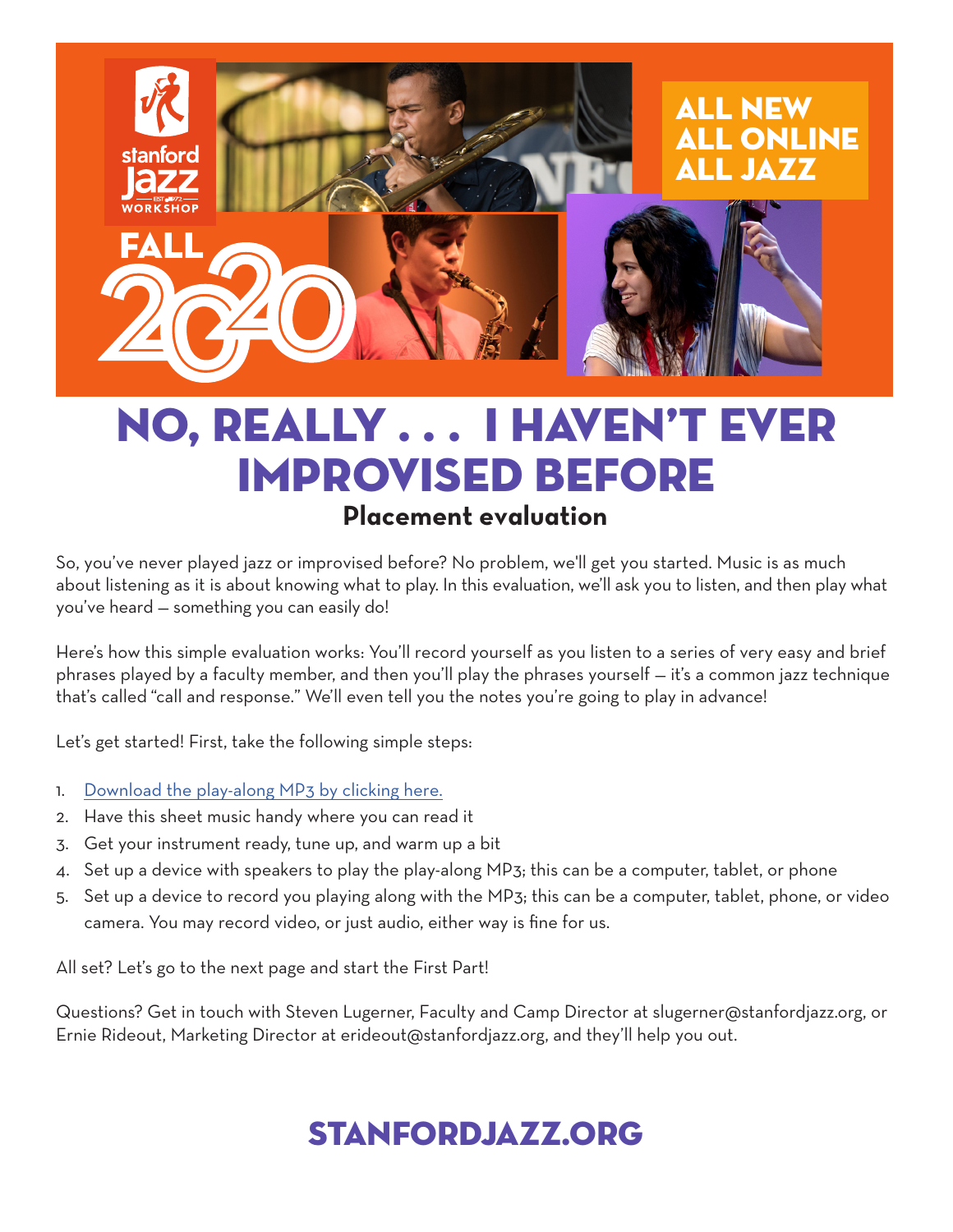

## No, really . . . I haven't ever improvised before **Placement evaluation**

So, you've never played jazz or improvised before? No problem, we'll get you started. Music is as much about listening as it is about knowing what to play. In this evaluation, we'll ask you to listen, and then play what you've heard — something you can easily do!

Here's how this simple evaluation works: You'll record yourself as you listen to a series of very easy and brief phrases played by a faculty member, and then you'll play the phrases yourself — it's a common jazz technique that's called "call and response." We'll even tell you the notes you're going to play in advance!

Let's get started! First, take the following simple steps:

- 1. [Download the play-along MP3 by clicking here.](https://stanfordjazz.org/wp-content/uploads/2020/09/Never-Improvised-Before-call-and-response-mix-1.mp3)
- 2. Have this sheet music handy where you can read it
- 3. Get your instrument ready, tune up, and warm up a bit
- 4. Set up a device with speakers to play the play-along MP3; this can be a computer, tablet, or phone
- 5. Set up a device to record you playing along with the MP3; this can be a computer, tablet, phone, or video camera. You may record video, or just audio, either way is fine for us.

All set? Let's go to the next page and start the First Part!

Questions? Get in touch with Steven Lugerner, Faculty and Camp Director at slugerner@stanfordjazz.org, or Ernie Rideout, Marketing Director at erideout@stanfordjazz.org, and they'll help you out.

# stanfordjazz.org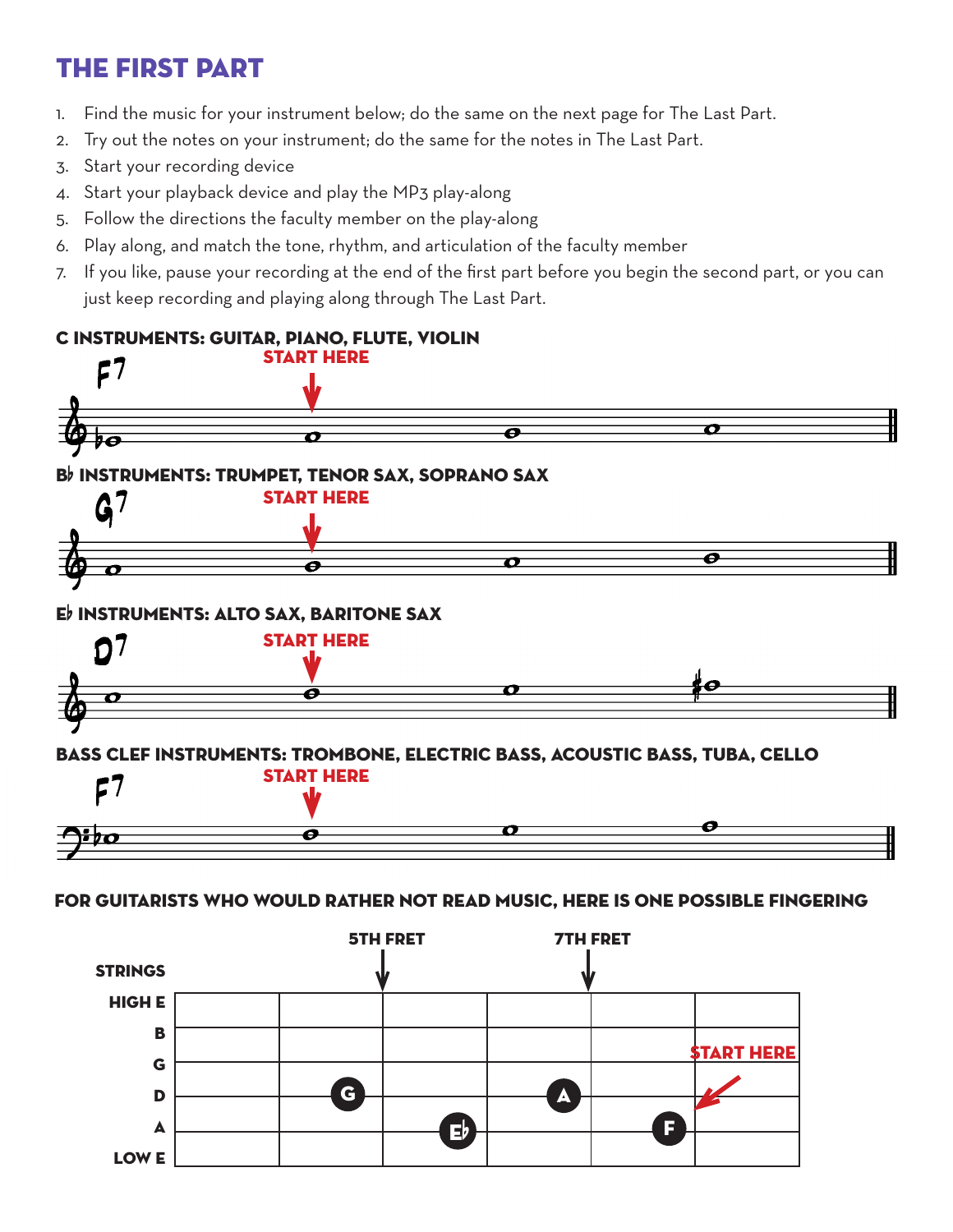### the first part

- 1. Find the music for your instrument below; do the same on the next page for The Last Part.
- 2. Try out the notes on your instrument; do the same for the notes in The Last Part.
- 3. Start your recording device
- 4. Start your playback device and play the MP3 play-along
- 5. Follow the directions the faculty member on the play-along
- 6. Play along, and match the tone, rhythm, and articulation of the faculty member
- 7. If you like, pause your recording at the end of the first part before you begin the second part, or you can just keep recording and playing along through The Last Part.

#### c instruments: guitar, piano, flute, violin start here  ${\sf F}7$ O  $\overline{\bullet}$ Ó łО Bb INSTRUMENTS: TRUMPET, TENOR SAX, SOPRANO SAX<br>START HEDE start here 7 G Ō O  $\overline{\mathbf{e}}$





### bass clef instruments: trombone, electric bass, acoustic bass, tuba, cello



#### for guitarists who would rather not read music, here is one possible fingering

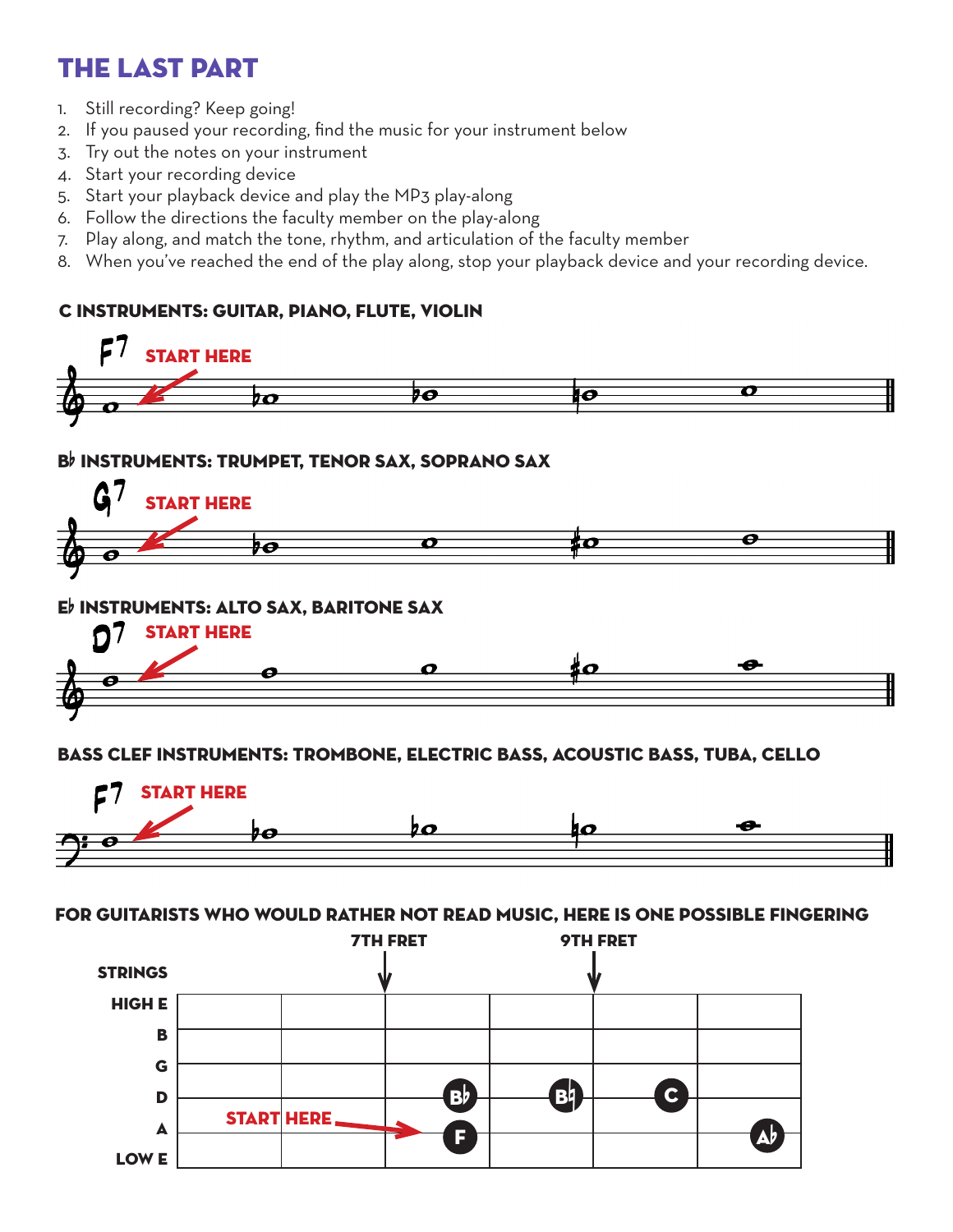### the last part

- 1. Still recording? Keep going!
- 2. If you paused your recording, find the music for your instrument below
- 3. Try out the notes on your instrument
- 4. Start your recording device
- 5. Start your playback device and play the MP3 play-along
- 6. Follow the directions the faculty member on the play-along
- 7. Play along, and match the tone, rhythm, and articulation of the faculty member
- 8. When you've reached the end of the play along, stop your playback device and your recording device.

### c instruments: guitar, piano, flute, violin





bass clef instruments: trombone, electric bass, acoustic bass, tuba, cello



for guitarists who would rather not read music, here is one possible fingering